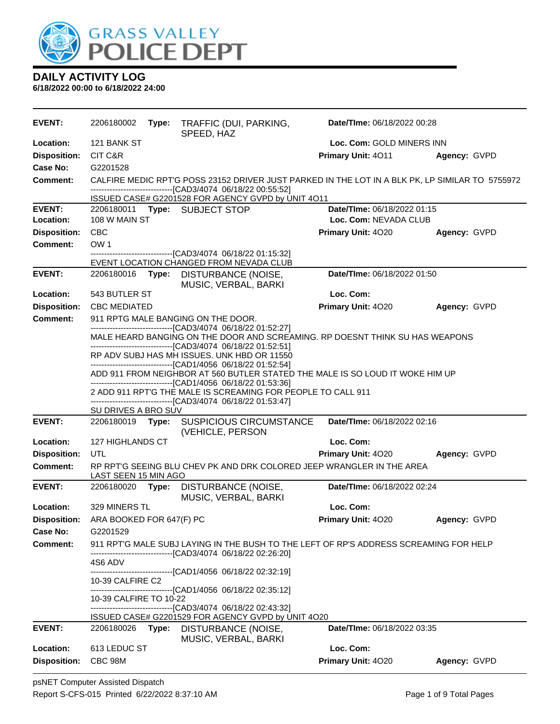

| EVENT:              | 2206180002               | Type: | TRAFFIC (DUI, PARKING,<br>SPEED, HAZ                                                                                                         | Date/TIme: 06/18/2022 00:28 |              |
|---------------------|--------------------------|-------|----------------------------------------------------------------------------------------------------------------------------------------------|-----------------------------|--------------|
| Location:           | 121 BANK ST              |       |                                                                                                                                              | Loc. Com: GOLD MINERS INN   |              |
| <b>Disposition:</b> | CIT C&R                  |       |                                                                                                                                              | Primary Unit: 4011          | Agency: GVPD |
| Case No:            | G2201528                 |       |                                                                                                                                              |                             |              |
| Comment:            |                          |       | CALFIRE MEDIC RPT'G POSS 23152 DRIVER JUST PARKED IN THE LOT IN A BLK PK, LP SIMILAR TO 5755972                                              |                             |              |
|                     |                          |       | -----------------------[CAD3/4074_06/18/22_00:55:52]<br>ISSUED CASE# G2201528 FOR AGENCY GVPD by UNIT 4011                                   |                             |              |
| <b>EVENT:</b>       |                          |       | 2206180011 Type: SUBJECT STOP                                                                                                                | Date/TIme: 06/18/2022 01:15 |              |
| Location:           | 108 W MAIN ST            |       |                                                                                                                                              | Loc. Com: NEVADA CLUB       |              |
| <b>Disposition:</b> | <b>CBC</b>               |       |                                                                                                                                              | <b>Primary Unit: 4020</b>   | Agency: GVPD |
| <b>Comment:</b>     | OW <sub>1</sub>          |       |                                                                                                                                              |                             |              |
|                     |                          |       | --------------------------------[CAD3/4074 06/18/22 01:15:32]<br>EVENT LOCATION CHANGED FROM NEVADA CLUB                                     |                             |              |
| <b>EVENT:</b>       | 2206180016               | Type: | DISTURBANCE (NOISE,                                                                                                                          | Date/TIme: 06/18/2022 01:50 |              |
|                     |                          |       | MUSIC, VERBAL, BARKI                                                                                                                         |                             |              |
| Location:           | 543 BUTLER ST            |       |                                                                                                                                              | Loc. Com:                   |              |
| <b>Disposition:</b> | <b>CBC MEDIATED</b>      |       |                                                                                                                                              | Primary Unit: 4020          | Agency: GVPD |
| <b>Comment:</b>     |                          |       | 911 RPTG MALE BANGING ON THE DOOR.                                                                                                           |                             |              |
|                     |                          |       | -------------------------------[CAD3/4074 06/18/22 01:52:27]<br>MALE HEARD BANGING ON THE DOOR AND SCREAMING. RP DOESNT THINK SU HAS WEAPONS |                             |              |
|                     |                          |       | -------------------------------[CAD3/4074 06/18/22 01:52:51]                                                                                 |                             |              |
|                     |                          |       | RP ADV SUBJ HAS MH ISSUES. UNK HBD OR 11550<br>-------------------------------[CAD1/4056 06/18/22 01:52:54]                                  |                             |              |
|                     |                          |       | ADD 911 FROM NEIGHBOR AT 560 BUTLER STATED THE MALE IS SO LOUD IT WOKE HIM UP                                                                |                             |              |
|                     |                          |       | ------------------------------[CAD1/4056 06/18/22 01:53:36]<br>2 ADD 911 RPT'G THE MALE IS SCREAMING FOR PEOPLE TO CALL 911                  |                             |              |
|                     |                          |       | -------------------------------[CAD3/4074 06/18/22 01:53:47]                                                                                 |                             |              |
|                     | SU DRIVES A BRO SUV      |       |                                                                                                                                              |                             |              |
| <b>EVENT:</b>       |                          |       | 2206180019 Type: SUSPICIOUS CIRCUMSTANCE<br>(VEHICLE, PERSON                                                                                 | Date/TIme: 06/18/2022 02:16 |              |
| Location:           | 127 HIGHLANDS CT         |       |                                                                                                                                              | Loc. Com:                   |              |
| <b>Disposition:</b> | UTL                      |       |                                                                                                                                              | Primary Unit: 4020          | Agency: GVPD |
| <b>Comment:</b>     | LAST SEEN 15 MIN AGO     |       | RP RPT'G SEEING BLU CHEV PK AND DRK COLORED JEEP WRANGLER IN THE AREA                                                                        |                             |              |
| <b>EVENT:</b>       | 2206180020               |       | Type: DISTURBANCE (NOISE,<br>MUSIC, VERBAL, BARKI                                                                                            | Date/TIme: 06/18/2022 02:24 |              |
| Location:           | 329 MINERS TL            |       |                                                                                                                                              | Loc. Com:                   |              |
| <b>Disposition:</b> | ARA BOOKED FOR 647(F) PC |       |                                                                                                                                              | Primary Unit: 4020          | Agency: GVPD |
| <b>Case No:</b>     | G2201529                 |       |                                                                                                                                              |                             |              |
| <b>Comment:</b>     |                          |       | 911 RPT'G MALE SUBJ LAYING IN THE BUSH TO THE LEFT OF RP'S ADDRESS SCREAMING FOR HELP                                                        |                             |              |
|                     | 4S6 ADV                  |       | -------------------------------[CAD3/4074 06/18/22 02:26:20]                                                                                 |                             |              |
|                     |                          |       | -------------------------------[CAD1/4056 06/18/22 02:32:19]                                                                                 |                             |              |
|                     | 10-39 CALFIRE C2         |       | -------------------------------[CAD1/4056 06/18/22 02:35:12]                                                                                 |                             |              |
|                     | 10-39 CALFIRE TO 10-22   |       |                                                                                                                                              |                             |              |
|                     |                          |       | -------------------------------[CAD3/4074 06/18/22 02:43:32]                                                                                 |                             |              |
| <b>EVENT:</b>       | 2206180026 Type:         |       | ISSUED CASE# G2201529 FOR AGENCY GVPD by UNIT 4O20<br>DISTURBANCE (NOISE,                                                                    | Date/TIme: 06/18/2022 03:35 |              |
|                     |                          |       | MUSIC, VERBAL, BARKI                                                                                                                         |                             |              |
| Location:           | 613 LEDUC ST             |       |                                                                                                                                              | Loc. Com:                   |              |
| <b>Disposition:</b> | CBC 98M                  |       |                                                                                                                                              | Primary Unit: 4020          | Agency: GVPD |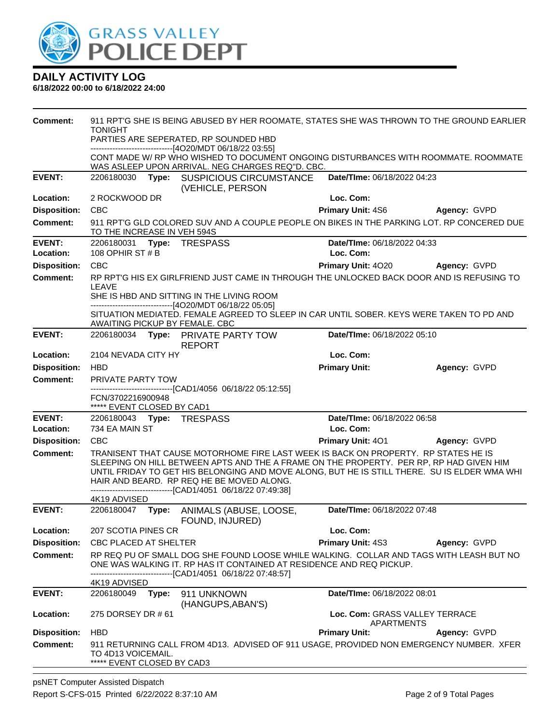

| Comment:            | 911 RPT'G SHE IS BEING ABUSED BY HER ROOMATE, STATES SHE WAS THROWN TO THE GROUND EARLIER<br><b>TONIGHT</b><br>PARTIES ARE SEPERATED, RP SOUNDED HBD<br>------------------------------[4O20/MDT 06/18/22 03:55]<br>CONT MADE W/ RP WHO WISHED TO DOCUMENT ONGOING DISTURBANCES WITH ROOMMATE. ROOMMATE |       |                                                                                                                                                                                                                                                                                                                                                                                            |                                              |              |
|---------------------|--------------------------------------------------------------------------------------------------------------------------------------------------------------------------------------------------------------------------------------------------------------------------------------------------------|-------|--------------------------------------------------------------------------------------------------------------------------------------------------------------------------------------------------------------------------------------------------------------------------------------------------------------------------------------------------------------------------------------------|----------------------------------------------|--------------|
|                     |                                                                                                                                                                                                                                                                                                        |       | WAS ASLEEP UPON ARRIVAL. NEG CHARGES REQ"D. CBC.                                                                                                                                                                                                                                                                                                                                           |                                              |              |
| <b>EVENT:</b>       | 2206180030                                                                                                                                                                                                                                                                                             |       | Type: SUSPICIOUS CIRCUMSTANCE                                                                                                                                                                                                                                                                                                                                                              | Date/TIme: 06/18/2022 04:23                  |              |
| Location:           | 2 ROCKWOOD DR                                                                                                                                                                                                                                                                                          |       | (VEHICLE, PERSON                                                                                                                                                                                                                                                                                                                                                                           | Loc. Com:                                    |              |
| <b>Disposition:</b> | <b>CBC</b>                                                                                                                                                                                                                                                                                             |       |                                                                                                                                                                                                                                                                                                                                                                                            | <b>Primary Unit: 4S6</b>                     | Agency: GVPD |
| <b>Comment:</b>     | TO THE INCREASE IN VEH 594S                                                                                                                                                                                                                                                                            |       | 911 RPT'G GLD COLORED SUV AND A COUPLE PEOPLE ON BIKES IN THE PARKING LOT. RP CONCERED DUE                                                                                                                                                                                                                                                                                                 |                                              |              |
| <b>EVENT:</b>       | 2206180031 Type: TRESPASS                                                                                                                                                                                                                                                                              |       |                                                                                                                                                                                                                                                                                                                                                                                            | Date/TIme: 06/18/2022 04:33                  |              |
| Location:           | 108 OPHIR ST # B                                                                                                                                                                                                                                                                                       |       |                                                                                                                                                                                                                                                                                                                                                                                            | Loc. Com:                                    |              |
| <b>Disposition:</b> | <b>CBC</b>                                                                                                                                                                                                                                                                                             |       |                                                                                                                                                                                                                                                                                                                                                                                            | Primary Unit: 4020                           | Agency: GVPD |
| <b>Comment:</b>     |                                                                                                                                                                                                                                                                                                        |       | RP RPT'G HIS EX GIRLFRIEND JUST CAME IN THROUGH THE UNLOCKED BACK DOOR AND IS REFUSING TO                                                                                                                                                                                                                                                                                                  |                                              |              |
|                     | LEAVE                                                                                                                                                                                                                                                                                                  |       | SHE IS HBD AND SITTING IN THE LIVING ROOM<br>--------------------------[4O20/MDT 06/18/22 05:05]                                                                                                                                                                                                                                                                                           |                                              |              |
|                     | AWAITING PICKUP BY FEMALE. CBC                                                                                                                                                                                                                                                                         |       | SITUATION MEDIATED. FEMALE AGREED TO SLEEP IN CAR UNTIL SOBER. KEYS WERE TAKEN TO PD AND                                                                                                                                                                                                                                                                                                   |                                              |              |
| <b>EVENT:</b>       | 2206180034                                                                                                                                                                                                                                                                                             |       | Type: PRIVATE PARTY TOW<br><b>REPORT</b>                                                                                                                                                                                                                                                                                                                                                   | Date/TIme: 06/18/2022 05:10                  |              |
| Location:           | 2104 NEVADA CITY HY                                                                                                                                                                                                                                                                                    |       |                                                                                                                                                                                                                                                                                                                                                                                            | Loc. Com:                                    |              |
| <b>Disposition:</b> | <b>HBD</b>                                                                                                                                                                                                                                                                                             |       |                                                                                                                                                                                                                                                                                                                                                                                            | <b>Primary Unit:</b>                         | Agency: GVPD |
| <b>Comment:</b>     | PRIVATE PARTY TOW                                                                                                                                                                                                                                                                                      |       |                                                                                                                                                                                                                                                                                                                                                                                            |                                              |              |
|                     | FCN/3702216900948<br>***** EVENT CLOSED BY CAD1                                                                                                                                                                                                                                                        |       | ------------------------[CAD1/4056 06/18/22 05:12:55]                                                                                                                                                                                                                                                                                                                                      |                                              |              |
| <b>EVENT:</b>       | 2206180043 Type: TRESPASS                                                                                                                                                                                                                                                                              |       |                                                                                                                                                                                                                                                                                                                                                                                            | Date/TIme: 06/18/2022 06:58                  |              |
| Location:           | 734 EA MAIN ST                                                                                                                                                                                                                                                                                         |       |                                                                                                                                                                                                                                                                                                                                                                                            | Loc. Com:                                    |              |
| <b>Disposition:</b> | <b>CBC</b>                                                                                                                                                                                                                                                                                             |       |                                                                                                                                                                                                                                                                                                                                                                                            | <b>Primary Unit: 401</b>                     | Agency: GVPD |
| <b>Comment:</b>     | 4K19 ADVISED                                                                                                                                                                                                                                                                                           |       | TRANISENT THAT CAUSE MOTORHOME FIRE LAST WEEK IS BACK ON PROPERTY. RP STATES HE IS<br>SLEEPING ON HILL BETWEEN APTS AND THE A FRAME ON THE PROPERTY. PER RP, RP HAD GIVEN HIM<br>UNTIL FRIDAY TO GET HIS BELONGING AND MOVE ALONG, BUT HE IS STILL THERE. SU IS ELDER WMA WHI<br>HAIR AND BEARD. RP REQ HE BE MOVED ALONG.<br>-------------------------------[CAD1/4051 06/18/22 07:49:38] |                                              |              |
| <b>EVENT:</b>       | 2206180047                                                                                                                                                                                                                                                                                             | Type: | ANIMALS (ABUSE, LOOSE,<br>FOUND, INJURED)                                                                                                                                                                                                                                                                                                                                                  | Date/TIme: 06/18/2022 07:48                  |              |
| Location:           | 207 SCOTIA PINES CR                                                                                                                                                                                                                                                                                    |       |                                                                                                                                                                                                                                                                                                                                                                                            | Loc. Com:                                    |              |
| <b>Disposition:</b> | <b>CBC PLACED AT SHELTER</b>                                                                                                                                                                                                                                                                           |       |                                                                                                                                                                                                                                                                                                                                                                                            | Primary Unit: 4S3                            | Agency: GVPD |
| <b>Comment:</b>     |                                                                                                                                                                                                                                                                                                        |       | RP REQ PU OF SMALL DOG SHE FOUND LOOSE WHILE WALKING. COLLAR AND TAGS WITH LEASH BUT NO<br>ONE WAS WALKING IT. RP HAS IT CONTAINED AT RESIDENCE AND REQ PICKUP.<br>--------------------------[CAD1/4051_06/18/22 07:48:57]                                                                                                                                                                 |                                              |              |
|                     | 4K19 ADVISED                                                                                                                                                                                                                                                                                           |       |                                                                                                                                                                                                                                                                                                                                                                                            |                                              |              |
| <b>EVENT:</b>       | 2206180049                                                                                                                                                                                                                                                                                             | Type: | 911 UNKNOWN<br>(HANGUPS, ABAN'S)                                                                                                                                                                                                                                                                                                                                                           | Date/TIme: 06/18/2022 08:01                  |              |
| Location:           | 275 DORSEY DR # 61                                                                                                                                                                                                                                                                                     |       |                                                                                                                                                                                                                                                                                                                                                                                            | Loc. Com: GRASS VALLEY TERRACE<br>APARTMENTS |              |
| <b>Disposition:</b> | <b>HBD</b>                                                                                                                                                                                                                                                                                             |       |                                                                                                                                                                                                                                                                                                                                                                                            | <b>Primary Unit:</b>                         | Agency: GVPD |
| <b>Comment:</b>     | TO 4D13 VOICEMAIL.<br>***** EVENT CLOSED BY CAD3                                                                                                                                                                                                                                                       |       | 911 RETURNING CALL FROM 4D13. ADVISED OF 911 USAGE, PROVIDED NON EMERGENCY NUMBER. XFER                                                                                                                                                                                                                                                                                                    |                                              |              |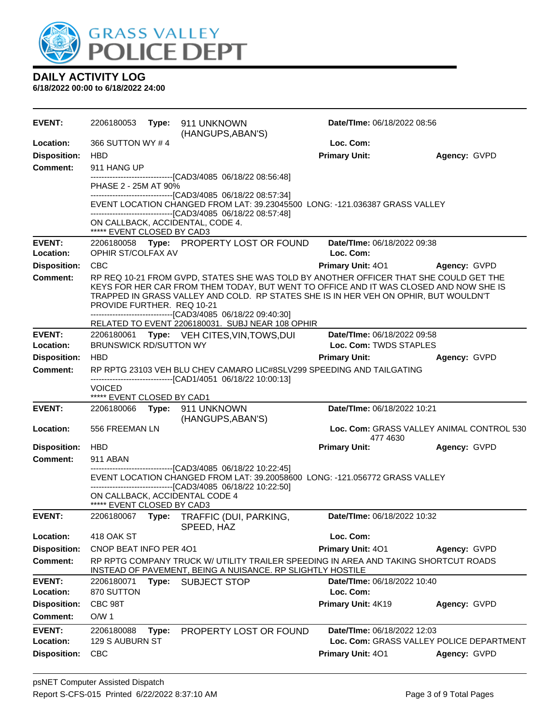

| <b>EVENT:</b>       | 2206180053                               |       | Type: 911 UNKNOWN<br>(HANGUPS, ABAN'S)                                                                                                                                         | Date/TIme: 06/18/2022 08:56      |                                           |
|---------------------|------------------------------------------|-------|--------------------------------------------------------------------------------------------------------------------------------------------------------------------------------|----------------------------------|-------------------------------------------|
| Location:           | 366 SUTTON WY #4                         |       |                                                                                                                                                                                | Loc. Com:                        |                                           |
| <b>Disposition:</b> | <b>HBD</b>                               |       |                                                                                                                                                                                | <b>Primary Unit:</b>             | Agency: GVPD                              |
| <b>Comment:</b>     | 911 HANG UP                              |       |                                                                                                                                                                                |                                  |                                           |
|                     | PHASE 2 - 25M AT 90%                     |       | --------------------------------[CAD3/4085 06/18/22 08:56:48]                                                                                                                  |                                  |                                           |
|                     |                                          |       | -------------------------------[CAD3/4085 06/18/22 08:57:34]                                                                                                                   |                                  |                                           |
|                     |                                          |       | EVENT LOCATION CHANGED FROM LAT: 39.23045500 LONG: -121.036387 GRASS VALLEY                                                                                                    |                                  |                                           |
|                     |                                          |       | -------------------------------[CAD3/4085 06/18/22 08:57:48]<br>ON CALLBACK, ACCIDENTAL, CODE 4.                                                                               |                                  |                                           |
|                     | ***** EVENT CLOSED BY CAD3               |       |                                                                                                                                                                                |                                  |                                           |
| <b>EVENT:</b>       |                                          |       | 2206180058 Type: PROPERTY LOST OR FOUND                                                                                                                                        | Date/TIme: 06/18/2022 09:38      |                                           |
| Location:           | OPHIR ST/COLFAX AV                       |       |                                                                                                                                                                                | Loc. Com:                        |                                           |
| <b>Disposition:</b> | <b>CBC</b>                               |       |                                                                                                                                                                                | <b>Primary Unit: 401</b>         | Agency: GVPD                              |
| <b>Comment:</b>     |                                          |       | RP REQ 10-21 FROM GVPD, STATES SHE WAS TOLD BY ANOTHER OFFICER THAT SHE COULD GET THE<br>KEYS FOR HER CAR FROM THEM TODAY, BUT WENT TO OFFICE AND IT WAS CLOSED AND NOW SHE IS |                                  |                                           |
|                     |                                          |       | TRAPPED IN GRASS VALLEY AND COLD. RP STATES SHE IS IN HER VEH ON OPHIR, BUT WOULDN'T                                                                                           |                                  |                                           |
|                     | PROVIDE FURTHER. REQ 10-21               |       | -------------------------------[CAD3/4085 06/18/22 09:40:30]                                                                                                                   |                                  |                                           |
|                     |                                          |       | RELATED TO EVENT 2206180031. SUBJ NEAR 108 OPHIR                                                                                                                               |                                  |                                           |
| <b>EVENT:</b>       |                                          |       | 2206180061 Type: VEH CITES, VIN, TOWS, DUI                                                                                                                                     | Date/TIme: 06/18/2022 09:58      |                                           |
| Location:           | <b>BRUNSWICK RD/SUTTON WY</b>            |       |                                                                                                                                                                                | Loc. Com: TWDS STAPLES           |                                           |
| <b>Disposition:</b> | <b>HBD</b>                               |       |                                                                                                                                                                                | <b>Primary Unit:</b>             | Agency: GVPD                              |
| Comment:            |                                          |       | RP RPTG 23103 VEH BLU CHEV CAMARO LIC#8SLV299 SPEEDING AND TAILGATING<br>-------------------------------[CAD1/4051 06/18/22 10:00:13]                                          |                                  |                                           |
|                     | <b>VOICED</b>                            |       |                                                                                                                                                                                |                                  |                                           |
| <b>EVENT:</b>       | ***** EVENT CLOSED BY CAD1<br>2206180066 |       | Type: 911 UNKNOWN                                                                                                                                                              | Date/TIme: 06/18/2022 10:21      |                                           |
|                     |                                          |       | (HANGUPS, ABAN'S)                                                                                                                                                              |                                  |                                           |
| <b>Location:</b>    | 556 FREEMAN LN                           |       |                                                                                                                                                                                |                                  | Loc. Com: GRASS VALLEY ANIMAL CONTROL 530 |
| <b>Disposition:</b> | <b>HBD</b>                               |       |                                                                                                                                                                                | 477 4630<br><b>Primary Unit:</b> | Agency: GVPD                              |
| <b>Comment:</b>     | 911 ABAN                                 |       |                                                                                                                                                                                |                                  |                                           |
|                     |                                          |       | -------------------------------[CAD3/4085 06/18/22 10:22:45]<br>EVENT LOCATION CHANGED FROM LAT: 39.20058600 LONG: -121.056772 GRASS VALLEY                                    |                                  |                                           |
|                     |                                          |       | -------------------------------[CAD3/4085 06/18/22 10:22:50]                                                                                                                   |                                  |                                           |
|                     |                                          |       | ON CALLBACK, ACCIDENTAL CODE 4                                                                                                                                                 |                                  |                                           |
| <b>EVENT:</b>       | ***** EVENT CLOSED BY CAD3               |       |                                                                                                                                                                                |                                  |                                           |
|                     |                                          |       | 2206180067 Type: TRAFFIC (DUI, PARKING,<br>SPEED, HAZ                                                                                                                          | Date/TIme: 06/18/2022 10:32      |                                           |
| Location:           | 418 OAK ST                               |       |                                                                                                                                                                                | Loc. Com:                        |                                           |
| <b>Disposition:</b> | CNOP BEAT INFO PER 401                   |       |                                                                                                                                                                                | Primary Unit: 401                | Agency: GVPD                              |
| <b>Comment:</b>     |                                          |       | RP RPTG COMPANY TRUCK W/ UTILITY TRAILER SPEEDING IN AREA AND TAKING SHORTCUT ROADS<br>INSTEAD OF PAVEMENT, BEING A NUISANCE. RP SLIGHTLY HOSTILE                              |                                  |                                           |
| <b>EVENT:</b>       | 2206180071                               | Type: | <b>SUBJECT STOP</b>                                                                                                                                                            | Date/TIme: 06/18/2022 10:40      |                                           |
| Location:           | 870 SUTTON                               |       |                                                                                                                                                                                | Loc. Com:                        |                                           |
| <b>Disposition:</b> | CBC 98T                                  |       |                                                                                                                                                                                | Primary Unit: 4K19               | Agency: GVPD                              |
| <b>Comment:</b>     | O/W <sub>1</sub>                         |       |                                                                                                                                                                                |                                  |                                           |
| <b>EVENT:</b>       | 2206180088                               | Type: | PROPERTY LOST OR FOUND                                                                                                                                                         | Date/TIme: 06/18/2022 12:03      |                                           |
| Location:           | 129 S AUBURN ST                          |       |                                                                                                                                                                                |                                  | Loc. Com: GRASS VALLEY POLICE DEPARTMENT  |
| <b>Disposition:</b> | <b>CBC</b>                               |       |                                                                                                                                                                                | <b>Primary Unit: 401</b>         | Agency: GVPD                              |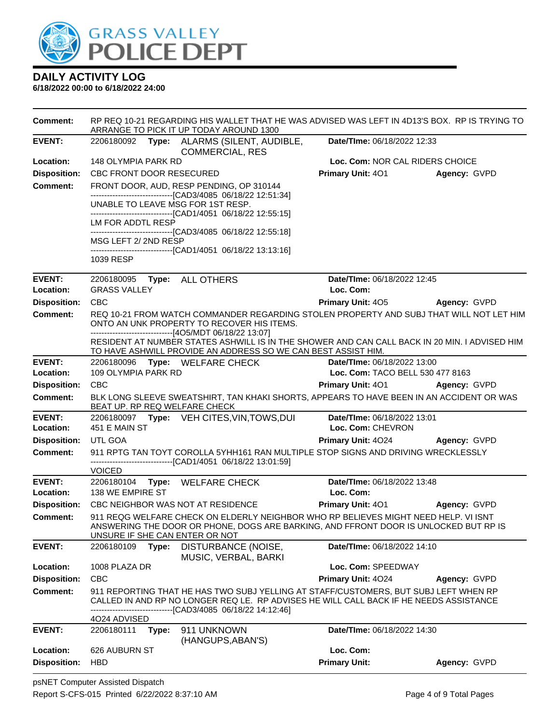

| <b>Comment:</b>            | RP REQ 10-21 REGARDING HIS WALLET THAT HE WAS ADVISED WAS LEFT IN 4D13'S BOX. RP IS TRYING TO<br>ARRANGE TO PICK IT UP TODAY AROUND 1300                                                                                |       |                                                                                                                                                                    |                                                                                   |                                                                                               |  |
|----------------------------|-------------------------------------------------------------------------------------------------------------------------------------------------------------------------------------------------------------------------|-------|--------------------------------------------------------------------------------------------------------------------------------------------------------------------|-----------------------------------------------------------------------------------|-----------------------------------------------------------------------------------------------|--|
| <b>EVENT:</b>              |                                                                                                                                                                                                                         |       | 2206180092 Type: ALARMS (SILENT, AUDIBLE,<br><b>COMMERCIAL, RES</b>                                                                                                | Date/TIme: 06/18/2022 12:33                                                       |                                                                                               |  |
| Location:                  | 148 OLYMPIA PARK RD                                                                                                                                                                                                     |       |                                                                                                                                                                    |                                                                                   | Loc. Com: NOR CAL RIDERS CHOICE                                                               |  |
| <b>Disposition:</b>        | CBC FRONT DOOR RESECURED                                                                                                                                                                                                |       |                                                                                                                                                                    |                                                                                   | <b>Primary Unit: 401 Agency: GVPD</b>                                                         |  |
| <b>Comment:</b>            |                                                                                                                                                                                                                         |       | FRONT DOOR, AUD, RESP PENDING, OP 310144                                                                                                                           |                                                                                   |                                                                                               |  |
|                            |                                                                                                                                                                                                                         |       | --------------------------------[CAD3/4085 06/18/22 12:51:34]<br>UNABLE TO LEAVE MSG FOR 1ST RESP.<br>-------------------------------[CAD1/4051 06/18/22 12:55:15] |                                                                                   |                                                                                               |  |
|                            | LM FOR ADDTL RESP                                                                                                                                                                                                       |       |                                                                                                                                                                    |                                                                                   |                                                                                               |  |
|                            | MSG LEFT 2/2ND RESP                                                                                                                                                                                                     |       | --------------------------------[CAD3/4085 06/18/22 12:55:18]<br>-----------------------------------[CAD1/4051 06/18/22 13:13:16]                                  |                                                                                   |                                                                                               |  |
|                            | 1039 RESP                                                                                                                                                                                                               |       |                                                                                                                                                                    |                                                                                   |                                                                                               |  |
| <b>EVENT:</b><br>Location: | <b>GRASS VALLEY</b>                                                                                                                                                                                                     |       | 2206180095 Type: ALL OTHERS                                                                                                                                        | Date/TIme: 06/18/2022 12:45<br>Loc. Com:                                          |                                                                                               |  |
| <b>Disposition:</b>        | <b>CBC</b>                                                                                                                                                                                                              |       |                                                                                                                                                                    | <b>Primary Unit: 405</b>                                                          | Agency: GVPD                                                                                  |  |
| Comment:                   |                                                                                                                                                                                                                         |       |                                                                                                                                                                    |                                                                                   |                                                                                               |  |
|                            | REQ 10-21 FROM WATCH COMMANDER REGARDING STOLEN PROPERTY AND SUBJ THAT WILL NOT LET HIM<br>ONTO AN UNK PROPERTY TO RECOVER HIS ITEMS.<br>--------------------------------[4O5/MDT 06/18/22 13:07]                       |       |                                                                                                                                                                    |                                                                                   |                                                                                               |  |
|                            |                                                                                                                                                                                                                         |       | TO HAVE ASHWILL PROVIDE AN ADDRESS SO WE CAN BEST ASSIST HIM.                                                                                                      |                                                                                   | RESIDENT AT NUMBER STATES ASHWILL IS IN THE SHOWER AND CAN CALL BACK IN 20 MIN. I ADVISED HIM |  |
| <b>EVENT:</b>              |                                                                                                                                                                                                                         |       | 2206180096 Type: WELFARE CHECK                                                                                                                                     | Date/TIme: 06/18/2022 13:00                                                       |                                                                                               |  |
| Location:                  | 109 OLYMPIA PARK RD                                                                                                                                                                                                     |       |                                                                                                                                                                    | Loc. Com: TACO BELL 530 477 8163                                                  |                                                                                               |  |
| <b>Disposition:</b>        | <b>CBC</b>                                                                                                                                                                                                              |       |                                                                                                                                                                    |                                                                                   | Primary Unit: 401 Agency: GVPD                                                                |  |
| <b>Comment:</b>            |                                                                                                                                                                                                                         |       | BEAT UP. RP REQ WELFARE CHECK                                                                                                                                      |                                                                                   | BLK LONG SLEEVE SWEATSHIRT, TAN KHAKI SHORTS, APPEARS TO HAVE BEEN IN AN ACCIDENT OR WAS      |  |
| <b>EVENT:</b>              |                                                                                                                                                                                                                         |       | 2206180097 Type: VEH CITES, VIN, TOWS, DUI                                                                                                                         | Date/TIme: 06/18/2022 13:01                                                       |                                                                                               |  |
| Location:                  | 451 E MAIN ST                                                                                                                                                                                                           |       |                                                                                                                                                                    | Loc. Com: CHEVRON                                                                 |                                                                                               |  |
| <b>Disposition:</b>        | UTL GOA                                                                                                                                                                                                                 |       |                                                                                                                                                                    |                                                                                   | <b>Primary Unit: 4024 Agency: GVPD</b>                                                        |  |
| <b>Comment:</b>            |                                                                                                                                                                                                                         |       | ------------------------------[CAD1/4051 06/18/22 13:01:59]                                                                                                        | 911 RPTG TAN TOYT COROLLA 5YHH161 RAN MULTIPLE STOP SIGNS AND DRIVING WRECKLESSLY |                                                                                               |  |
| <b>EVENT:</b>              | <b>VOICED</b>                                                                                                                                                                                                           |       | 2206180104 Type: WELFARE CHECK                                                                                                                                     | Date/TIme: 06/18/2022 13:48                                                       |                                                                                               |  |
| Location:                  | 138 WE EMPIRE ST                                                                                                                                                                                                        |       |                                                                                                                                                                    | Loc. Com:                                                                         |                                                                                               |  |
| <b>Disposition:</b>        |                                                                                                                                                                                                                         |       | CBC NEIGHBOR WAS NOT AT RESIDENCE                                                                                                                                  |                                                                                   | Primary Unit: 401 Agency: GVPD                                                                |  |
| <b>Comment:</b>            | 911 REQG WELFARE CHECK ON ELDERLY NEIGHBOR WHO RP BELIEVES MIGHT NEED HELP. VI ISNT<br>ANSWERING THE DOOR OR PHONE, DOGS ARE BARKING, AND FFRONT DOOR IS UNLOCKED BUT RP IS<br>UNSURE IF SHE CAN ENTER OR NOT           |       |                                                                                                                                                                    |                                                                                   |                                                                                               |  |
| <b>EVENT:</b>              | 2206180109                                                                                                                                                                                                              | Type: | DISTURBANCE (NOISE,<br>MUSIC, VERBAL, BARKI                                                                                                                        | Date/TIme: 06/18/2022 14:10                                                       |                                                                                               |  |
| Location:                  | 1008 PLAZA DR                                                                                                                                                                                                           |       |                                                                                                                                                                    | Loc. Com: SPEEDWAY                                                                |                                                                                               |  |
| <b>Disposition:</b>        | <b>CBC</b>                                                                                                                                                                                                              |       |                                                                                                                                                                    | Primary Unit: 4024                                                                | Agency: GVPD                                                                                  |  |
| Comment:                   | 911 REPORTING THAT HE HAS TWO SUBJ YELLING AT STAFF/CUSTOMERS, BUT SUBJ LEFT WHEN RP<br>CALLED IN AND RP NO LONGER REQ LE. RP ADVISES HE WILL CALL BACK IF HE NEEDS ASSISTANCE<br>--------[CAD3/4085 06/18/22 14:12:46] |       |                                                                                                                                                                    |                                                                                   |                                                                                               |  |
| <b>EVENT:</b>              | 4024 ADVISED<br>2206180111                                                                                                                                                                                              | Type: | 911 UNKNOWN<br>(HANGUPS, ABAN'S)                                                                                                                                   | Date/TIme: 06/18/2022 14:30                                                       |                                                                                               |  |
| Location:                  | 626 AUBURN ST                                                                                                                                                                                                           |       |                                                                                                                                                                    | Loc. Com:                                                                         |                                                                                               |  |
| <b>Disposition:</b>        | <b>HBD</b>                                                                                                                                                                                                              |       |                                                                                                                                                                    | <b>Primary Unit:</b>                                                              | Agency: GVPD                                                                                  |  |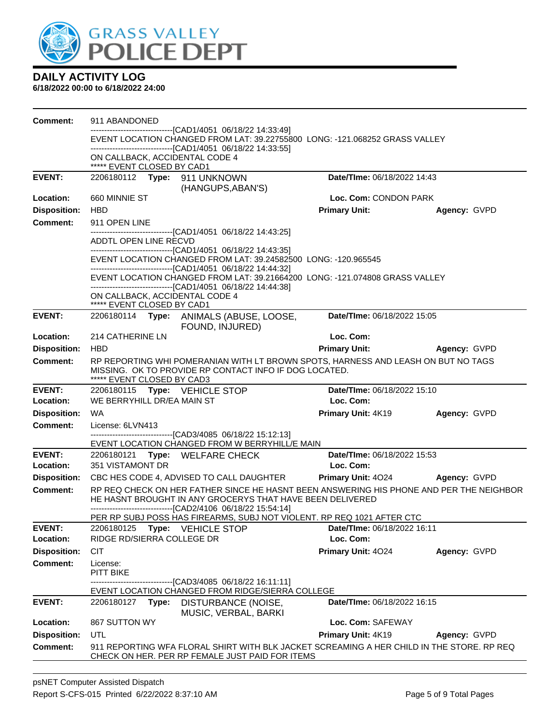

| <b>Comment:</b>            | 911 ABANDONED                                                                                                                                                             |                                          |              |  |  |  |
|----------------------------|---------------------------------------------------------------------------------------------------------------------------------------------------------------------------|------------------------------------------|--------------|--|--|--|
|                            | ------------------------------[CAD1/4051 06/18/22 14:33:49]<br>EVENT LOCATION CHANGED FROM LAT: 39.22755800 LONG: -121.068252 GRASS VALLEY                                |                                          |              |  |  |  |
|                            | -------------------------------[CAD1/4051 06/18/22 14:33:55]                                                                                                              |                                          |              |  |  |  |
|                            | ON CALLBACK, ACCIDENTAL CODE 4<br>***** EVENT CLOSED BY CAD1                                                                                                              |                                          |              |  |  |  |
| <b>EVENT:</b>              | 2206180112 Type: 911 UNKNOWN<br>(HANGUPS, ABAN'S)                                                                                                                         | Date/TIme: 06/18/2022 14:43              |              |  |  |  |
| Location:                  | 660 MINNIE ST                                                                                                                                                             | Loc. Com: CONDON PARK                    |              |  |  |  |
| <b>Disposition:</b>        | <b>HBD</b>                                                                                                                                                                | <b>Primary Unit:</b>                     | Agency: GVPD |  |  |  |
| <b>Comment:</b>            | 911 OPEN LINE                                                                                                                                                             |                                          |              |  |  |  |
|                            | --------------------------------[CAD1/4051 06/18/22 14:43:25]<br>ADDTL OPEN LINE RECVD                                                                                    |                                          |              |  |  |  |
|                            | -------------------------------[CAD1/4051 06/18/22 14:43:35]<br>EVENT LOCATION CHANGED FROM LAT: 39.24582500 LONG: -120.965545                                            |                                          |              |  |  |  |
|                            | ---------------------------------[CAD1/4051 06/18/22 14:44:32]                                                                                                            |                                          |              |  |  |  |
|                            | EVENT LOCATION CHANGED FROM LAT: 39.21664200 LONG: -121.074808 GRASS VALLEY<br>-------------------------------[CAD1/4051 06/18/22 14:44:38]                               |                                          |              |  |  |  |
|                            | ON CALLBACK, ACCIDENTAL CODE 4<br>***** EVENT CLOSED BY CAD1                                                                                                              |                                          |              |  |  |  |
| <b>EVENT:</b>              | 2206180114 Type: ANIMALS (ABUSE, LOOSE,<br>FOUND, INJURED)                                                                                                                | Date/TIme: 06/18/2022 15:05              |              |  |  |  |
| Location:                  | 214 CATHERINE LN                                                                                                                                                          | Loc. Com:                                |              |  |  |  |
| <b>Disposition:</b>        | <b>HBD</b>                                                                                                                                                                | <b>Primary Unit:</b>                     | Agency: GVPD |  |  |  |
| <b>Comment:</b>            | RP REPORTING WHI POMERANIAN WITH LT BROWN SPOTS, HARNESS AND LEASH ON BUT NO TAGS<br>MISSING. OK TO PROVIDE RP CONTACT INFO IF DOG LOCATED.<br>***** EVENT CLOSED BY CAD3 |                                          |              |  |  |  |
| <b>EVENT:</b>              | 2206180115 Type: VEHICLE STOP                                                                                                                                             | Date/TIme: 06/18/2022 15:10              |              |  |  |  |
| Location:                  | WE BERRYHILL DR/EA MAIN ST                                                                                                                                                | Loc. Com:                                |              |  |  |  |
| <b>Disposition:</b>        | <b>WA</b>                                                                                                                                                                 | Primary Unit: 4K19                       | Agency: GVPD |  |  |  |
| <b>Comment:</b>            | License: 6LVN413<br>------------------------------[CAD3/4085 06/18/22 15:12:13]                                                                                           |                                          |              |  |  |  |
|                            | EVENT LOCATION CHANGED FROM W BERRYHILL/E MAIN                                                                                                                            |                                          |              |  |  |  |
| <b>EVENT:</b><br>Location: | 2206180121<br>Type: WELFARE CHECK<br>351 VISTAMONT DR                                                                                                                     | Date/TIme: 06/18/2022 15:53<br>Loc. Com: |              |  |  |  |
| <b>Disposition:</b>        | CBC HES CODE 4, ADVISED TO CALL DAUGHTER                                                                                                                                  | <b>Primary Unit: 4024</b>                | Agency: GVPD |  |  |  |
| <b>Comment:</b>            | RP REQ CHECK ON HER FATHER SINCE HE HASNT BEEN ANSWERING HIS PHONE AND PER THE NEIGHBOR                                                                                   |                                          |              |  |  |  |
|                            | HE HASNT BROUGHT IN ANY GROCERYS THAT HAVE BEEN DELIVERED<br>-------------------------------[CAD2/4106 06/18/22 15:54:14]                                                 |                                          |              |  |  |  |
|                            | PER RP SUBJ POSS HAS FIREARMS, SUBJ NOT VIOLENT. RP REQ 1021 AFTER CTC                                                                                                    |                                          |              |  |  |  |
| <b>EVENT:</b><br>Location: | 2206180125<br>Type: VEHICLE STOP<br>RIDGE RD/SIERRA COLLEGE DR                                                                                                            | Date/TIme: 06/18/2022 16:11<br>Loc. Com: |              |  |  |  |
| <b>Disposition:</b>        | <b>CIT</b>                                                                                                                                                                | Primary Unit: 4024                       | Agency: GVPD |  |  |  |
| <b>Comment:</b>            | License:                                                                                                                                                                  |                                          |              |  |  |  |
|                            | PITT BIKE<br>---------------------[CAD3/4085 06/18/22 16:11:11]                                                                                                           |                                          |              |  |  |  |
|                            | EVENT LOCATION CHANGED FROM RIDGE/SIERRA COLLEGE                                                                                                                          |                                          |              |  |  |  |
| <b>EVENT:</b>              | 2206180127<br>DISTURBANCE (NOISE,<br>Type:<br>MUSIC, VERBAL, BARKI                                                                                                        | Date/TIme: 06/18/2022 16:15              |              |  |  |  |
| Location:                  | 867 SUTTON WY                                                                                                                                                             | Loc. Com: SAFEWAY                        |              |  |  |  |
| <b>Disposition:</b>        | UTL                                                                                                                                                                       | Primary Unit: 4K19                       | Agency: GVPD |  |  |  |
| <b>Comment:</b>            | 911 REPORTING WFA FLORAL SHIRT WITH BLK JACKET SCREAMING A HER CHILD IN THE STORE. RP REQ<br>CHECK ON HER. PER RP FEMALE JUST PAID FOR ITEMS                              |                                          |              |  |  |  |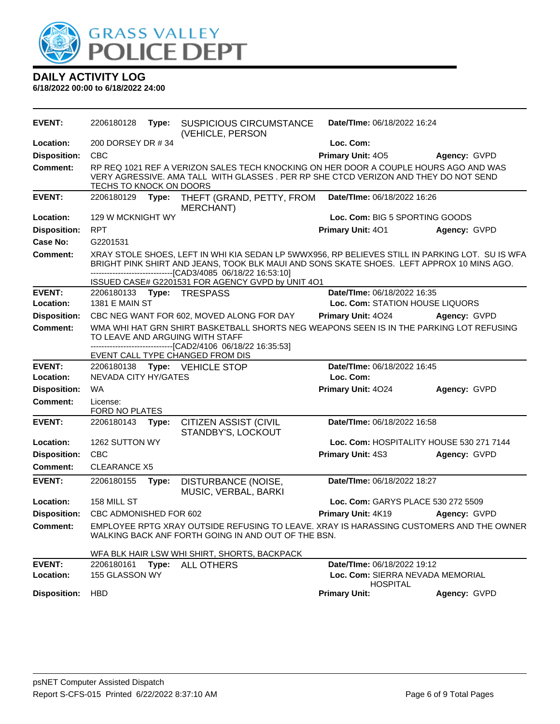

| <b>EVENT:</b>              | 2206180128                   | Type: | <b>SUSPICIOUS CIRCUMSTANCE</b><br>(VEHICLE, PERSON                                                                                                                                                                                                                                                     | Date/TIme: 06/18/2022 16:24                                                        |              |
|----------------------------|------------------------------|-------|--------------------------------------------------------------------------------------------------------------------------------------------------------------------------------------------------------------------------------------------------------------------------------------------------------|------------------------------------------------------------------------------------|--------------|
| Location:                  | 200 DORSEY DR #34            |       |                                                                                                                                                                                                                                                                                                        | Loc. Com:                                                                          |              |
| <b>Disposition:</b>        | <b>CBC</b>                   |       |                                                                                                                                                                                                                                                                                                        | Primary Unit: 405                                                                  | Agency: GVPD |
| <b>Comment:</b>            | TECHS TO KNOCK ON DOORS      |       | RP REQ 1021 REF A VERIZON SALES TECH KNOCKING ON HER DOOR A COUPLE HOURS AGO AND WAS<br>VERY AGRESSIVE. AMA TALL WITH GLASSES . PER RP SHE CTCD VERIZON AND THEY DO NOT SEND                                                                                                                           |                                                                                    |              |
| <b>EVENT:</b>              | 2206180129                   | Type: | THEFT (GRAND, PETTY, FROM<br><b>MERCHANT)</b>                                                                                                                                                                                                                                                          | Date/TIme: 06/18/2022 16:26                                                        |              |
| Location:                  | 129 W MCKNIGHT WY            |       |                                                                                                                                                                                                                                                                                                        | Loc. Com: BIG 5 SPORTING GOODS                                                     |              |
| <b>Disposition:</b>        | <b>RPT</b>                   |       |                                                                                                                                                                                                                                                                                                        | Primary Unit: 401                                                                  | Agency: GVPD |
| Case No:                   | G2201531                     |       |                                                                                                                                                                                                                                                                                                        |                                                                                    |              |
| <b>Comment:</b>            |                              |       | XRAY STOLE SHOES, LEFT IN WHI KIA SEDAN LP 5WWX956, RP BELIEVES STILL IN PARKING LOT. SU IS WFA<br>BRIGHT PINK SHIRT AND JEANS, TOOK BLK MAUI AND SONS SKATE SHOES. LEFT APPROX 10 MINS AGO.<br>--------------------[CAD3/4085_06/18/22_16:53:10]<br>ISSUED CASE# G2201531 FOR AGENCY GVPD by UNIT 4O1 |                                                                                    |              |
| <b>EVENT:</b>              |                              |       | 2206180133 Type: TRESPASS                                                                                                                                                                                                                                                                              | Date/TIme: 06/18/2022 16:35                                                        |              |
| Location:                  | <b>1381 E MAIN ST</b>        |       |                                                                                                                                                                                                                                                                                                        | Loc. Com: STATION HOUSE LIQUORS                                                    |              |
| <b>Disposition:</b>        |                              |       | CBC NEG WANT FOR 602, MOVED ALONG FOR DAY                                                                                                                                                                                                                                                              | Primary Unit: 4024                                                                 | Agency: GVPD |
| <b>Comment:</b>            |                              |       | WMA WHI HAT GRN SHIRT BASKETBALL SHORTS NEG WEAPONS SEEN IS IN THE PARKING LOT REFUSING<br>TO LEAVE AND ARGUING WITH STAFF<br>-------------------------------[CAD2/4106 06/18/22 16:35:53]                                                                                                             |                                                                                    |              |
|                            |                              |       | EVENT CALL TYPE CHANGED FROM DIS                                                                                                                                                                                                                                                                       |                                                                                    |              |
| <b>EVENT:</b><br>Location: | NEVADA CITY HY/GATES         |       | 2206180138 Type: VEHICLE STOP                                                                                                                                                                                                                                                                          | Date/TIme: 06/18/2022 16:45<br>Loc. Com:                                           |              |
|                            |                              |       |                                                                                                                                                                                                                                                                                                        |                                                                                    |              |
| <b>Disposition:</b>        | <b>WA</b>                    |       |                                                                                                                                                                                                                                                                                                        | Primary Unit: 4024                                                                 | Agency: GVPD |
| <b>Comment:</b>            | License:<br>FORD NO PLATES   |       |                                                                                                                                                                                                                                                                                                        |                                                                                    |              |
| <b>EVENT:</b>              | 2206180143                   | Type: | <b>CITIZEN ASSIST (CIVIL</b><br>STANDBY'S, LOCKOUT                                                                                                                                                                                                                                                     | Date/TIme: 06/18/2022 16:58                                                        |              |
| Location:                  | 1262 SUTTON WY               |       |                                                                                                                                                                                                                                                                                                        | Loc. Com: HOSPITALITY HOUSE 530 271 7144                                           |              |
| <b>Disposition:</b>        | <b>CBC</b>                   |       |                                                                                                                                                                                                                                                                                                        | <b>Primary Unit: 4S3</b>                                                           | Agency: GVPD |
| Comment:                   | <b>CLEARANCE X5</b>          |       |                                                                                                                                                                                                                                                                                                        |                                                                                    |              |
| <b>EVENT:</b>              | 2206180155                   | Type: | DISTURBANCE (NOISE,<br>MUSIC, VERBAL, BARKI                                                                                                                                                                                                                                                            | Date/TIme: 06/18/2022 18:27                                                        |              |
| Location:                  | 158 MILL ST                  |       |                                                                                                                                                                                                                                                                                                        | Loc. Com: GARYS PLACE 530 272 5509                                                 |              |
| <b>Disposition:</b>        | CBC ADMONISHED FOR 602       |       |                                                                                                                                                                                                                                                                                                        | Primary Unit: 4K19                                                                 | Agency: GVPD |
| <b>Comment:</b>            |                              |       | EMPLOYEE RPTG XRAY OUTSIDE REFUSING TO LEAVE. XRAY IS HARASSING CUSTOMERS AND THE OWNER<br>WALKING BACK ANF FORTH GOING IN AND OUT OF THE BSN.                                                                                                                                                         |                                                                                    |              |
|                            |                              |       | WFA BLK HAIR LSW WHI SHIRT, SHORTS, BACKPACK                                                                                                                                                                                                                                                           |                                                                                    |              |
| <b>EVENT:</b><br>Location: | 2206180161<br>155 GLASSON WY |       | Type: ALL OTHERS                                                                                                                                                                                                                                                                                       | Date/TIme: 06/18/2022 19:12<br>Loc. Com: SIERRA NEVADA MEMORIAL<br><b>HOSPITAL</b> |              |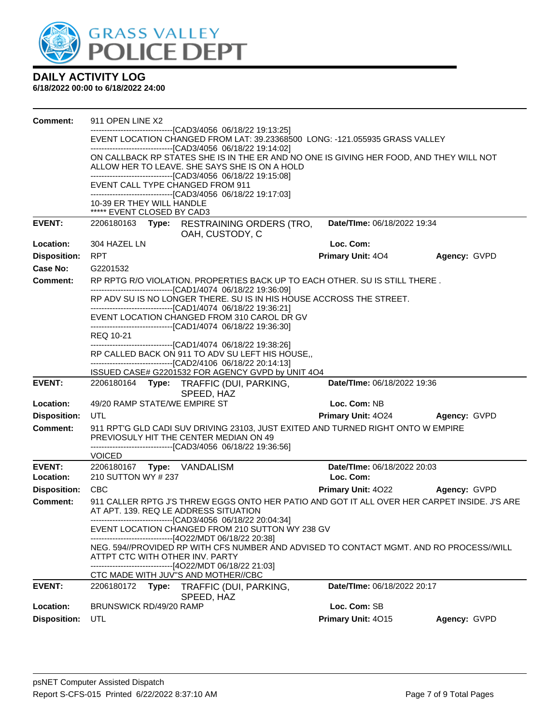

| <b>Comment:</b>     | 911 OPEN LINE X2                                                                                                                             |                             |              |  |  |  |  |
|---------------------|----------------------------------------------------------------------------------------------------------------------------------------------|-----------------------------|--------------|--|--|--|--|
|                     | ------------------------------[CAD3/4056_06/18/22 19:13:25]                                                                                  |                             |              |  |  |  |  |
|                     | EVENT LOCATION CHANGED FROM LAT: 39.23368500 LONG: -121.055935 GRASS VALLEY<br>--------------------------------[CAD3/4056 06/18/22 19:14:02] |                             |              |  |  |  |  |
|                     | ON CALLBACK RP STATES SHE IS IN THE ER AND NO ONE IS GIVING HER FOOD, AND THEY WILL NOT                                                      |                             |              |  |  |  |  |
|                     | ALLOW HER TO LEAVE. SHE SAYS SHE IS ON A HOLD                                                                                                |                             |              |  |  |  |  |
|                     | -------------------------------[CAD3/4056 06/18/22 19:15:08]                                                                                 |                             |              |  |  |  |  |
|                     | EVENT CALL TYPE CHANGED FROM 911<br>--------------------------------[CAD3/4056 06/18/22 19:17:03]                                            |                             |              |  |  |  |  |
|                     | 10-39 ER THEY WILL HANDLE                                                                                                                    |                             |              |  |  |  |  |
|                     | ***** EVENT CLOSED BY CAD3                                                                                                                   |                             |              |  |  |  |  |
| <b>EVENT:</b>       | 2206180163 Type: RESTRAINING ORDERS (TRO,                                                                                                    | Date/TIme: 06/18/2022 19:34 |              |  |  |  |  |
| Location:           | OAH, CUSTODY, C<br>304 HAZEL LN                                                                                                              | Loc. Com:                   |              |  |  |  |  |
| <b>Disposition:</b> | <b>RPT</b>                                                                                                                                   | <b>Primary Unit: 404</b>    | Agency: GVPD |  |  |  |  |
| Case No:            | G2201532                                                                                                                                     |                             |              |  |  |  |  |
| Comment:            | RP RPTG R/O VIOLATION. PROPERTIES BACK UP TO EACH OTHER. SU IS STILL THERE.                                                                  |                             |              |  |  |  |  |
|                     | -------------------------------[CAD1/4074 06/18/22 19:36:09]                                                                                 |                             |              |  |  |  |  |
|                     | RP ADV SU IS NO LONGER THERE. SU IS IN HIS HOUSE ACCROSS THE STREET.                                                                         |                             |              |  |  |  |  |
|                     | ------------------------------[CAD1/4074 06/18/22 19:36:21]                                                                                  |                             |              |  |  |  |  |
|                     | EVENT LOCATION CHANGED FROM 310 CAROL DR GV<br>-------------------------------[CAD1/4074_06/18/22 19:36:30]                                  |                             |              |  |  |  |  |
|                     | REQ 10-21                                                                                                                                    |                             |              |  |  |  |  |
|                     | -------------------------------[CAD1/4074 06/18/22 19:38:26]                                                                                 |                             |              |  |  |  |  |
|                     | RP CALLED BACK ON 911 TO ADV SU LEFT HIS HOUSE,<br>-------------------------------[CAD2/4106 06/18/22 20:14:13]                              |                             |              |  |  |  |  |
|                     | ISSUED CASE# G2201532 FOR AGENCY GVPD by UNIT 4O4                                                                                            |                             |              |  |  |  |  |
| <b>EVENT:</b>       | 2206180164 Type: TRAFFIC (DUI, PARKING,<br>SPEED, HAZ                                                                                        | Date/TIme: 06/18/2022 19:36 |              |  |  |  |  |
| Location:           | 49/20 RAMP STATE/WE EMPIRE ST                                                                                                                | Loc. Com: NB                |              |  |  |  |  |
| <b>Disposition:</b> | UTL                                                                                                                                          | <b>Primary Unit: 4024</b>   | Agency: GVPD |  |  |  |  |
| Comment:            | 911 RPT'G GLD CADI SUV DRIVING 23103, JUST EXITED AND TURNED RIGHT ONTO W EMPIRE                                                             |                             |              |  |  |  |  |
|                     | PREVIOSULY HIT THE CENTER MEDIAN ON 49                                                                                                       |                             |              |  |  |  |  |
|                     | --------------------------------[CAD3/4056 06/18/22 19:36:56]<br><b>VOICED</b>                                                               |                             |              |  |  |  |  |
| <b>EVENT:</b>       | 2206180167 Type: VANDALISM                                                                                                                   | Date/TIme: 06/18/2022 20:03 |              |  |  |  |  |
| Location:           | 210 SUTTON WY # 237                                                                                                                          | Loc. Com:                   |              |  |  |  |  |
| <b>Disposition:</b> | <b>CBC</b>                                                                                                                                   | <b>Primary Unit: 4022</b>   | Agency: GVPD |  |  |  |  |
| <b>Comment:</b>     | 911 CALLER RPTG J'S THREW EGGS ONTO HER PATIO AND GOT IT ALL OVER HER CARPET INSIDE. J'S ARE                                                 |                             |              |  |  |  |  |
|                     | AT APT. 139. REQ LE ADDRESS SITUATION<br>---------------------------------[CAD3/4056 06/18/22 20:04:34]                                      |                             |              |  |  |  |  |
|                     | EVENT LOCATION CHANGED FROM 210 SUTTON WY 238 GV                                                                                             |                             |              |  |  |  |  |
|                     | ------------------------[4O22/MDT 06/18/22 20:38]                                                                                            |                             |              |  |  |  |  |
|                     | NEG. 594//PROVIDED RP WITH CFS NUMBER AND ADVISED TO CONTACT MGMT. AND RO PROCESS//WILL                                                      |                             |              |  |  |  |  |
|                     | ATTPT CTC WITH OTHER INV. PARTY<br>-------------------------------[4O22/MDT 06/18/22 21:03]                                                  |                             |              |  |  |  |  |
|                     | CTC MADE WITH JUV"S AND MOTHER//CBC                                                                                                          |                             |              |  |  |  |  |
| <b>EVENT:</b>       | 2206180172 Type: TRAFFIC (DUI, PARKING,<br>SPEED, HAZ                                                                                        | Date/TIme: 06/18/2022 20:17 |              |  |  |  |  |
| Location:           | BRUNSWICK RD/49/20 RAMP                                                                                                                      | Loc. Com: SB                |              |  |  |  |  |
| <b>Disposition:</b> | <b>UTL</b>                                                                                                                                   | Primary Unit: 4015          | Agency: GVPD |  |  |  |  |
|                     |                                                                                                                                              |                             |              |  |  |  |  |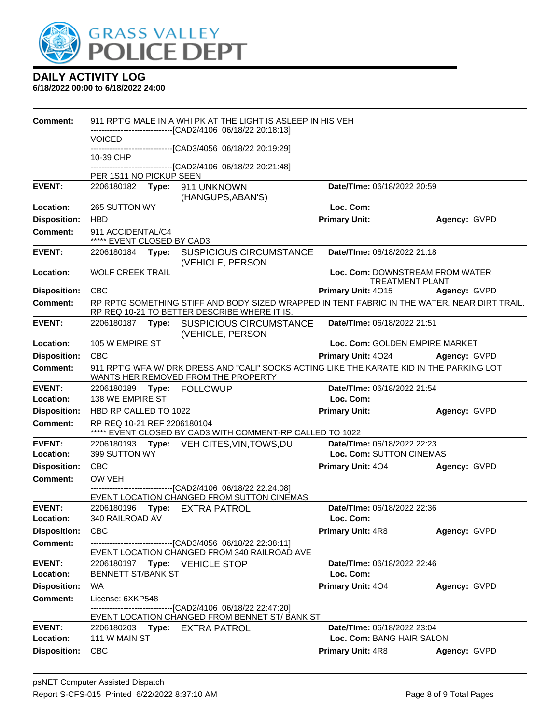

| <b>Comment:</b>            |                                                                                                                                  |  | 911 RPT'G MALE IN A WHI PK AT THE LIGHT IS ASLEEP IN HIS VEH                                                                                 |                                                           |              |
|----------------------------|----------------------------------------------------------------------------------------------------------------------------------|--|----------------------------------------------------------------------------------------------------------------------------------------------|-----------------------------------------------------------|--------------|
|                            | <b>VOICED</b>                                                                                                                    |  | -------------------------[CAD2/4106 06/18/22 20:18:13]                                                                                       |                                                           |              |
|                            | 10-39 CHP                                                                                                                        |  | ------------------------[CAD3/4056 06/18/22 20:19:29]                                                                                        |                                                           |              |
|                            | PER 1S11 NO PICKUP SEEN                                                                                                          |  | --------------------------------[CAD2/4106 06/18/22 20:21:48]                                                                                |                                                           |              |
| <b>EVENT:</b>              |                                                                                                                                  |  | 2206180182 Type: 911 UNKNOWN                                                                                                                 | Date/TIme: 06/18/2022 20:59                               |              |
|                            |                                                                                                                                  |  | (HANGUPS, ABAN'S)                                                                                                                            |                                                           |              |
| Location:                  | 265 SUTTON WY                                                                                                                    |  |                                                                                                                                              | Loc. Com:                                                 |              |
| <b>Disposition:</b>        | <b>HBD</b>                                                                                                                       |  |                                                                                                                                              | <b>Primary Unit:</b>                                      | Agency: GVPD |
| Comment:                   | 911 ACCIDENTAL/C4<br>***** EVENT CLOSED BY CAD3                                                                                  |  |                                                                                                                                              |                                                           |              |
| <b>EVENT:</b>              |                                                                                                                                  |  | 2206180184 Type: SUSPICIOUS CIRCUMSTANCE<br>(VEHICLE, PERSON                                                                                 | Date/TIme: 06/18/2022 21:18                               |              |
| Location:                  | <b>WOLF CREEK TRAIL</b>                                                                                                          |  |                                                                                                                                              | Loc. Com: DOWNSTREAM FROM WATER<br><b>TREATMENT PLANT</b> |              |
| <b>Disposition:</b>        | <b>CBC</b>                                                                                                                       |  |                                                                                                                                              | Primary Unit: 4015                                        | Agency: GVPD |
| <b>Comment:</b>            |                                                                                                                                  |  | RP RPTG SOMETHING STIFF AND BODY SIZED WRAPPED IN TENT FABRIC IN THE WATER. NEAR DIRT TRAIL.<br>RP REQ 10-21 TO BETTER DESCRIBE WHERE IT IS. |                                                           |              |
| <b>EVENT:</b>              |                                                                                                                                  |  | 2206180187 Type: SUSPICIOUS CIRCUMSTANCE<br>(VEHICLE, PERSON                                                                                 | Date/TIme: 06/18/2022 21:51                               |              |
| Location:                  | 105 W EMPIRE ST                                                                                                                  |  |                                                                                                                                              | Loc. Com: GOLDEN EMPIRE MARKET                            |              |
| <b>Disposition:</b>        | <b>CBC</b>                                                                                                                       |  |                                                                                                                                              | Primary Unit: 4024                                        | Agency: GVPD |
| <b>Comment:</b>            | 911 RPT'G WFA W/ DRK DRESS AND "CALI" SOCKS ACTING LIKE THE KARATE KID IN THE PARKING LOT<br>WANTS HER REMOVED FROM THE PROPERTY |  |                                                                                                                                              |                                                           |              |
| <b>EVENT:</b><br>Location: | 138 WE EMPIRE ST                                                                                                                 |  | 2206180189 Type: FOLLOWUP                                                                                                                    | Date/TIme: 06/18/2022 21:54<br>Loc. Com:                  |              |
| <b>Disposition:</b>        | HBD RP CALLED TO 1022                                                                                                            |  |                                                                                                                                              | <b>Primary Unit:</b>                                      | Agency: GVPD |
| <b>Comment:</b>            | RP REQ 10-21 REF 2206180104                                                                                                      |  | ***** EVENT CLOSED BY CAD3 WITH COMMENT-RP CALLED TO 1022                                                                                    |                                                           |              |
| <b>EVENT:</b>              |                                                                                                                                  |  | 2206180193 Type: VEH CITES, VIN, TOWS, DUI                                                                                                   | Date/TIme: 06/18/2022 22:23                               |              |
| Location:                  | 399 SUTTON WY                                                                                                                    |  |                                                                                                                                              | Loc. Com: SUTTON CINEMAS                                  |              |
| <b>Disposition:</b>        | <b>CBC</b>                                                                                                                       |  |                                                                                                                                              | <b>Primary Unit: 404</b>                                  | Agency: GVPD |
| <b>Comment:</b>            | OW VEH                                                                                                                           |  | --------------------[CAD2/4106_06/18/22_22:24:08]                                                                                            |                                                           |              |
|                            |                                                                                                                                  |  | EVENT LOCATION CHANGED FROM SUTTON CINEMAS                                                                                                   |                                                           |              |
| <b>EVENT:</b>              |                                                                                                                                  |  | 2206180196 Type: EXTRA PATROL                                                                                                                | Date/TIme: 06/18/2022 22:36                               |              |
| Location:                  | 340 RAILROAD AV                                                                                                                  |  |                                                                                                                                              | Loc. Com:                                                 |              |
| <b>Disposition:</b>        | <b>CBC</b>                                                                                                                       |  |                                                                                                                                              | <b>Primary Unit: 4R8</b>                                  | Agency: GVPD |
| <b>Comment:</b>            |                                                                                                                                  |  | -------------------------------[CAD3/4056_06/18/22 22:38:11]<br>EVENT LOCATION CHANGED FROM 340 RAILROAD AVE                                 |                                                           |              |
| <b>EVENT:</b>              |                                                                                                                                  |  | 2206180197 Type: VEHICLE STOP                                                                                                                | Date/TIme: 06/18/2022 22:46                               |              |
| Location:                  | <b>BENNETT ST/BANK ST</b>                                                                                                        |  |                                                                                                                                              | Loc. Com:                                                 |              |
| <b>Disposition:</b>        | WA                                                                                                                               |  |                                                                                                                                              | <b>Primary Unit: 404</b>                                  | Agency: GVPD |
| <b>Comment:</b>            | License: 6XKP548                                                                                                                 |  | -------[CAD2/4106_06/18/22 22:47:20]                                                                                                         |                                                           |              |
|                            |                                                                                                                                  |  | EVENT LOCATION CHANGED FROM BENNET ST/ BANK ST                                                                                               |                                                           |              |
| <b>EVENT:</b>              | 2206180203 <b>Type:</b><br>111 W MAIN ST                                                                                         |  | <b>EXTRA PATROL</b>                                                                                                                          | Date/TIme: 06/18/2022 23:04                               |              |
| Location:                  |                                                                                                                                  |  |                                                                                                                                              | Loc. Com: BANG HAIR SALON                                 |              |
| <b>Disposition:</b>        | <b>CBC</b>                                                                                                                       |  |                                                                                                                                              | <b>Primary Unit: 4R8</b>                                  | Agency: GVPD |